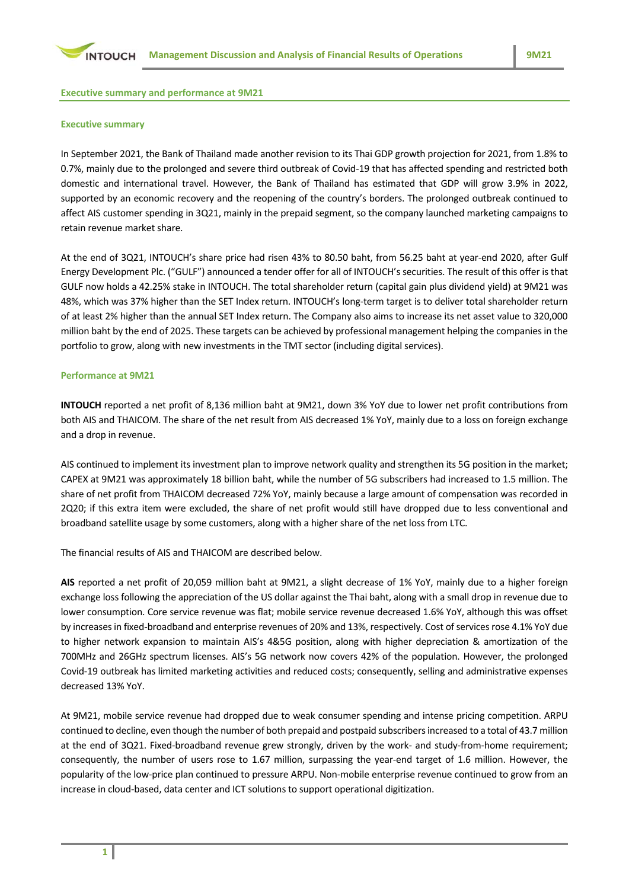

**Executive summary and performance at 9M21**

#### **Executive summary**

In September 2021, the Bank of Thailand made another revision to its Thai GDP growth projection for 2021, from 1.8% to 0.7%, mainly due to the prolonged and severe third outbreak of Covid-19 that has affected spending and restricted both domestic and international travel. However, the Bank of Thailand has estimated that GDP will grow 3.9% in 2022, supported by an economic recovery and the reopening of the country's borders. The prolonged outbreak continued to affect AIS customer spending in 3Q21, mainly in the prepaid segment, so the company launched marketing campaigns to retain revenue market share.

At the end of 3Q21, INTOUCH's share price had risen 43% to 80.50 baht, from 56.25 baht at year-end 2020, after Gulf Energy Development Plc. ("GULF") announced a tender offer for all of INTOUCH's securities. The result of this offer is that GULF now holds a 42.25% stake in INTOUCH. The total shareholder return (capital gain plus dividend yield) at 9M21 was 48%, which was 37% higher than the SET Index return. INTOUCH's long-term target is to deliver total shareholder return of at least 2% higher than the annual SET Index return. The Company also aims to increase its net asset value to 320,000 million baht by the end of 2025. These targets can be achieved by professional management helping the companies in the portfolio to grow, along with new investments in the TMT sector (including digital services).

#### **Performance at 9M21**

**INTOUCH** reported a net profit of 8,136 million baht at 9M21, down 3% YoY due to lower net profit contributions from both AIS and THAICOM. The share of the net result from AIS decreased 1% YoY, mainly due to a loss on foreign exchange and a drop in revenue.

AIS continued to implement its investment plan to improve network quality and strengthen its 5G position in the market; CAPEX at 9M21 was approximately 18 billion baht, while the number of 5G subscribers had increased to 1.5 million. The share of net profit from THAICOM decreased 72% YoY, mainly because a large amount of compensation was recorded in 2Q20; if this extra item were excluded, the share of net profit would still have dropped due to less conventional and broadband satellite usage by some customers, along with a higher share of the net loss from LTC.

The financial results of AIS and THAICOM are described below.

**AIS** reported a net profit of 20,059 million baht at 9M21, a slight decrease of 1% YoY, mainly due to a higher foreign exchange loss following the appreciation of the US dollar against the Thai baht, along with a small drop in revenue due to lower consumption. Core service revenue was flat; mobile service revenue decreased 1.6% YoY, although this was offset by increases in fixed-broadband and enterprise revenues of 20% and 13%, respectively. Cost of services rose 4.1% YoY due to higher network expansion to maintain AIS's 4&5G position, along with higher depreciation & amortization of the 700MHz and 26GHz spectrum licenses. AIS's 5G network now covers 42% of the population. However, the prolonged Covid-19 outbreak has limited marketing activities and reduced costs; consequently, selling and administrative expenses decreased 13% YoY.

At 9M21, mobile service revenue had dropped due to weak consumer spending and intense pricing competition. ARPU continued to decline, even though the number of both prepaid and postpaid subscribers increased to a total of 43.7 million at the end of 3Q21. Fixed-broadband revenue grew strongly, driven by the work- and study-from-home requirement; consequently, the number of users rose to 1.67 million, surpassing the year-end target of 1.6 million. However, the popularity of the low-price plan continued to pressure ARPU. Non-mobile enterprise revenue continued to grow from an increase in cloud-based, data center and ICT solutions to support operational digitization.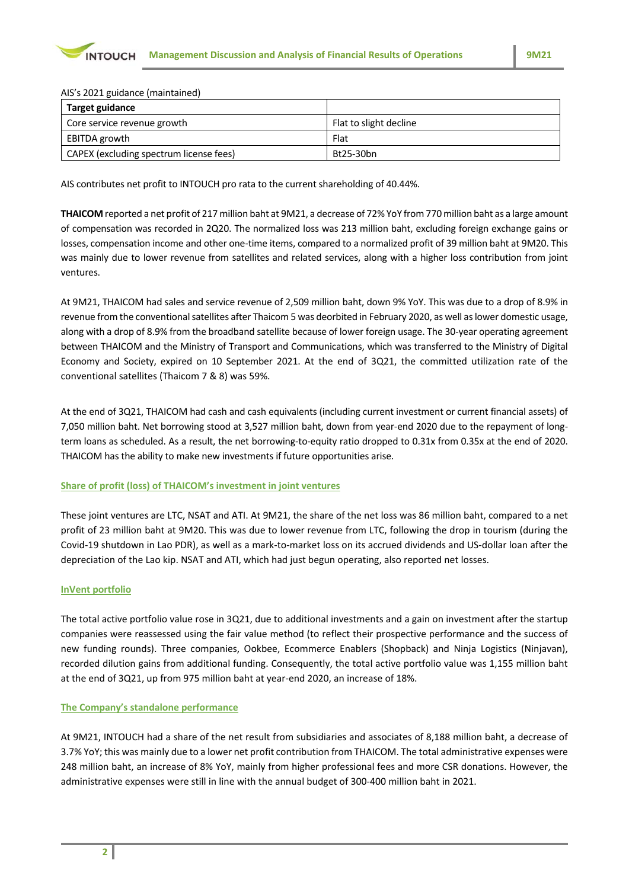

AIS's 2021 guidance (maintained)

| Als S ZUZ 1 guiddlice (mailleuilleuil   |                        |  |  |  |  |  |  |  |  |
|-----------------------------------------|------------------------|--|--|--|--|--|--|--|--|
| <b>Target guidance</b>                  |                        |  |  |  |  |  |  |  |  |
| Core service revenue growth             | Flat to slight decline |  |  |  |  |  |  |  |  |
| EBITDA growth                           | Flat                   |  |  |  |  |  |  |  |  |
| CAPEX (excluding spectrum license fees) | Bt25-30bn              |  |  |  |  |  |  |  |  |

AIS contributes net profit to INTOUCH pro rata to the current shareholding of 40.44%.

**THAICOM** reported a net profit of 217 million baht at 9M21, a decrease of 72% YoY from 770 million baht as a large amount of compensation was recorded in 2Q20. The normalized loss was 213 million baht, excluding foreign exchange gains or losses, compensation income and other one-time items, compared to a normalized profit of 39 million baht at 9M20. This was mainly due to lower revenue from satellites and related services, along with a higher loss contribution from joint ventures.

At 9M21, THAICOM had sales and service revenue of 2,509 million baht, down 9% YoY. This was due to a drop of 8.9% in revenue from the conventional satellites after Thaicom 5 was deorbited in February 2020, as well as lower domestic usage, along with a drop of 8.9% from the broadband satellite because of lower foreign usage. The 30-year operating agreement between THAICOM and the Ministry of Transport and Communications, which was transferred to the Ministry of Digital Economy and Society, expired on 10 September 2021. At the end of 3Q21, the committed utilization rate of the conventional satellites (Thaicom 7 & 8) was 59%.

At the end of 3Q21, THAICOM had cash and cash equivalents (including current investment or current financial assets) of 7,050 million baht. Net borrowing stood at 3,527 million baht, down from year-end 2020 due to the repayment of longterm loans as scheduled. As a result, the net borrowing-to-equity ratio dropped to 0.31x from 0.35x at the end of 2020. THAICOM has the ability to make new investments if future opportunities arise.

# **Share of profit (loss) of THAICOM's investment in joint ventures**

These joint ventures are LTC, NSAT and ATI. At 9M21, the share of the net loss was 86 million baht, compared to a net profit of 23 million baht at 9M20. This was due to lower revenue from LTC, following the drop in tourism (during the Covid-19 shutdown in Lao PDR), as well as a mark-to-market loss on its accrued dividends and US-dollar loan after the depreciation of the Lao kip. NSAT and ATI, which had just begun operating, also reported net losses.

# **InVent portfolio**

The total active portfolio value rose in 3Q21, due to additional investments and a gain on investment after the startup companies were reassessed using the fair value method (to reflect their prospective performance and the success of new funding rounds). Three companies, Ookbee, Ecommerce Enablers (Shopback) and Ninja Logistics (Ninjavan), recorded dilution gains from additional funding. Consequently, the total active portfolio value was 1,155 million baht at the end of 3Q21, up from 975 million baht at year-end 2020, an increase of 18%.

# **The Company's standalone performance**

At 9M21, INTOUCH had a share of the net result from subsidiaries and associates of 8,188 million baht, a decrease of 3.7% YoY; this was mainly due to a lower net profit contribution from THAICOM. The total administrative expenses were 248 million baht, an increase of 8% YoY, mainly from higher professional fees and more CSR donations. However, the administrative expenses were still in line with the annual budget of 300-400 million baht in 2021.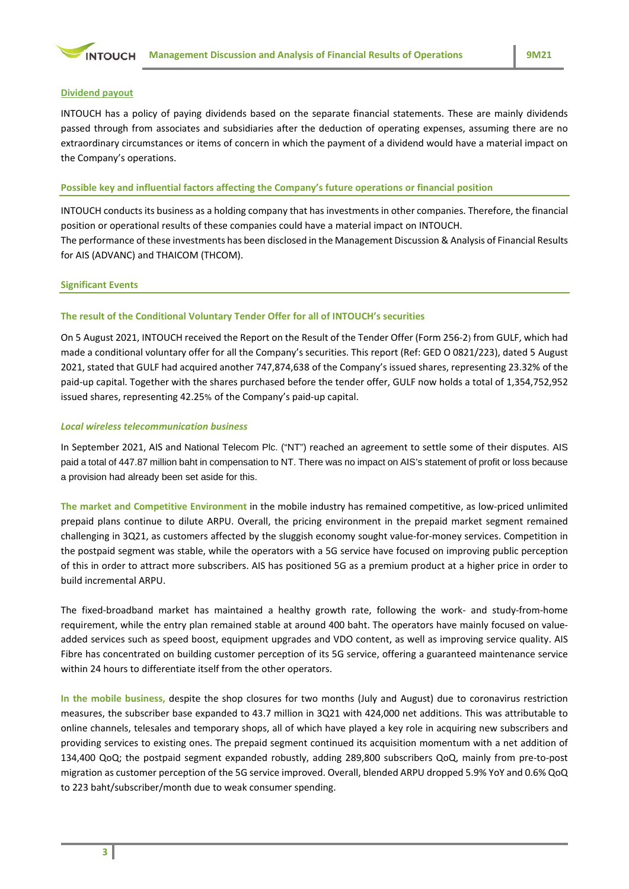

### **Dividend payout**

INTOUCH has a policy of paying dividends based on the separate financial statements. These are mainly dividends passed through from associates and subsidiaries after the deduction of operating expenses, assuming there are no extraordinary circumstances or items of concern in which the payment of a dividend would have a material impact on the Company's operations.

# **Possible key and influential factors affecting the Company's future operations or financial position**

INTOUCH conducts its business as a holding company that has investments in other companies. Therefore, the financial position or operational results of these companies could have a material impact on INTOUCH. The performance of these investments has been disclosed in the Management Discussion & Analysis of Financial Results for AIS (ADVANC) and THAICOM (THCOM).

#### **Significant Events**

# **The result of the Conditional Voluntary Tender Offer for all of INTOUCH's securities**

On 5 August 2021, INTOUCH received the Report on the Result of the Tender Offer (Form 256-2) from GULF, which had made a conditional voluntary offer for all the Company's securities. This report (Ref: GED O 0821/223), dated 5 August 2021, stated that GULF had acquired another 747,874,638 of the Company's issued shares, representing 23.32% of the paid-up capital. Together with the shares purchased before the tender offer, GULF now holds a total of 1,354,752,952 issued shares, representing 42.25% of the Company's paid-up capital.

### *Local wireless telecommunication business*

In September 2021, AIS and National Telecom Plc. ("NT") reached an agreement to settle some of their disputes. AIS paid a total of 447.87 million baht in compensation to NT. There was no impact on AIS's statement of profit or loss because a provision had already been set aside for this.

**The market and Competitive Environment** in the mobile industry has remained competitive, as low-priced unlimited prepaid plans continue to dilute ARPU. Overall, the pricing environment in the prepaid market segment remained challenging in 3Q21, as customers affected by the sluggish economy sought value-for-money services. Competition in the postpaid segment was stable, while the operators with a 5G service have focused on improving public perception of this in order to attract more subscribers. AIS has positioned 5G as a premium product at a higher price in order to build incremental ARPU.

The fixed-broadband market has maintained a healthy growth rate, following the work- and study-from-home requirement, while the entry plan remained stable at around 400 baht. The operators have mainly focused on valueadded services such as speed boost, equipment upgrades and VDO content, as well as improving service quality. AIS Fibre has concentrated on building customer perception of its 5G service, offering a guaranteed maintenance service within 24 hours to differentiate itself from the other operators.

**In the mobile business,** despite the shop closures for two months (July and August) due to coronavirus restriction measures, the subscriber base expanded to 43.7 million in 3Q21 with 424,000 net additions. This was attributable to online channels, telesales and temporary shops, all of which have played a key role in acquiring new subscribers and providing services to existing ones. The prepaid segment continued its acquisition momentum with a net addition of 134,400 QoQ; the postpaid segment expanded robustly, adding 289,800 subscribers QoQ, mainly from pre-to-post migration as customer perception of the 5G service improved. Overall, blended ARPU dropped 5.9% YoY and 0.6% QoQ to 223 baht/subscriber/month due to weak consumer spending.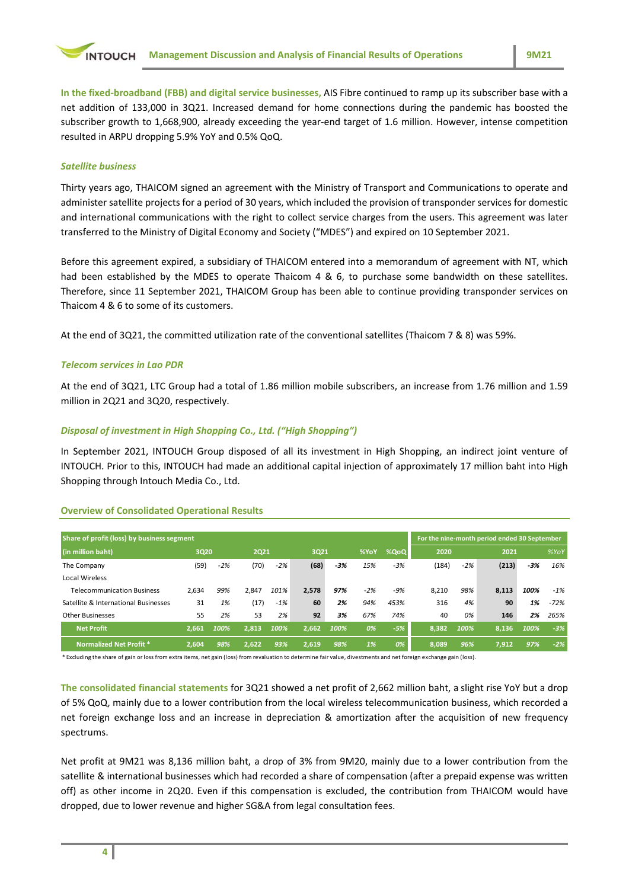

**In the fixed-broadband (FBB) and digital service businesses,** AIS Fibre continued to ramp up its subscriber base with a net addition of 133,000 in 3Q21. Increased demand for home connections during the pandemic has boosted the subscriber growth to 1,668,900, already exceeding the year-end target of 1.6 million. However, intense competition resulted in ARPU dropping 5.9% YoY and 0.5% QoQ.

### *Satellite business*

Thirty years ago, THAICOM signed an agreement with the Ministry of Transport and Communications to operate and administer satellite projects for a period of 30 years, which included the provision of transponder services for domestic and international communications with the right to collect service charges from the users. This agreement was later transferred to the Ministry of Digital Economy and Society ("MDES") and expired on 10 September 2021.

Before this agreement expired, a subsidiary of THAICOM entered into a memorandum of agreement with NT, which had been established by the MDES to operate Thaicom 4 & 6, to purchase some bandwidth on these satellites. Therefore, since 11 September 2021, THAICOM Group has been able to continue providing transponder services on Thaicom 4 & 6 to some of its customers.

At the end of 3Q21, the committed utilization rate of the conventional satellites (Thaicom 7 & 8) was 59%.

### *Telecom services in Lao PDR*

At the end of 3Q21, LTC Group had a total of 1.86 million mobile subscribers, an increase from 1.76 million and 1.59 million in 2Q21 and 3Q20, respectively.

# *Disposal of investment in High Shopping Co., Ltd. ("High Shopping")*

In September 2021, INTOUCH Group disposed of all its investment in High Shopping, an indirect joint venture of INTOUCH. Prior to this, INTOUCH had made an additional capital injection of approximately 17 million baht into High Shopping through Intouch Media Co., Ltd.

# **Overview of Consolidated Operational Results**

| Share of profit (loss) by business segment |       |       |       |       |       |       |       |       |       | For the nine-month period ended 30 September |       |       |        |
|--------------------------------------------|-------|-------|-------|-------|-------|-------|-------|-------|-------|----------------------------------------------|-------|-------|--------|
| (in million baht)                          | 3020  |       | 2021  |       | 3021  |       | %YoY  | %QoQ  | 2020  |                                              | 2021  |       | %YoY   |
| The Company                                | (59)  | $-2%$ | (70)  | $-2%$ | (68)  | $-3%$ | 15%   | $-3%$ | (184) | $-2%$                                        | (213) | $-3%$ | 16%    |
| Local Wireless                             |       |       |       |       |       |       |       |       |       |                                              |       |       |        |
| <b>Telecommunication Business</b>          | 2,634 | 99%   | 2.847 | 101%  | 2.578 | 97%   | $-2%$ | $-9%$ | 8,210 | 98%                                          | 8,113 | 100%  | $-1\%$ |
| Satellite & International Businesses       | 31    | 1%    | (17)  | $-1%$ | 60    | 2%    | 94%   | 453%  | 316   | 4%                                           | 90    | 1%    | $-72%$ |
| <b>Other Businesses</b>                    | 55    | 2%    | 53    | 2%    | 92    | 3%    | 67%   | 74%   | 40    | 0%                                           | 146   | 2%    | 265%   |
| <b>Net Profit</b>                          | 2.661 | 100%  | 2.813 | 100%  | 2.662 | 100%  | 0%    | $-5%$ | 8.382 | 100%                                         | 8.136 | 100%  | $-3%$  |
| Normalized Net Profit *                    | 2.604 | 98%   | 2.622 | 93%   | 2.619 | 98%   | 1%    | 0%    | 8.089 | 96%                                          | 7.912 | 97%   | $-2%$  |

\* Excluding the share of gain or loss from extra items, net gain (loss) from revaluation to determine fair value, divestments and net foreign exchange gain (loss).

**The consolidated financial statements** for 3Q21 showed a net profit of 2,662 million baht, a slight rise YoY but a drop of 5% QoQ, mainly due to a lower contribution from the local wireless telecommunication business, which recorded a net foreign exchange loss and an increase in depreciation & amortization after the acquisition of new frequency spectrums.

Net profit at 9M21 was 8,136 million baht, a drop of 3% from 9M20, mainly due to a lower contribution from the satellite & international businesses which had recorded a share of compensation (after a prepaid expense was written off) as other income in 2Q20. Even if this compensation is excluded, the contribution from THAICOM would have dropped, due to lower revenue and higher SG&A from legal consultation fees.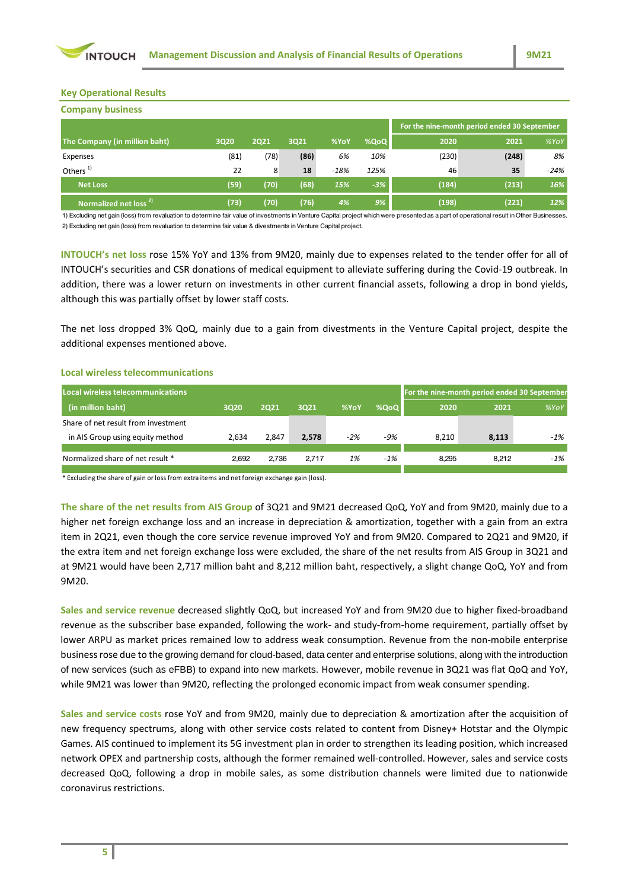

### **Key Operational Results**

| <b>Company business</b>           |      |             |      |        |       |                                              |       |        |  |  |
|-----------------------------------|------|-------------|------|--------|-------|----------------------------------------------|-------|--------|--|--|
|                                   |      |             |      |        |       | For the nine-month period ended 30 September |       |        |  |  |
| The Company (in million baht)     | 3020 | <b>2Q21</b> | 3021 | %YoY   | %QoQ  | 2020                                         | 2021  | %YoY   |  |  |
| Expenses                          | (81) | (78)        | (86) | 6%     | 10%   | (230)                                        | (248) | 8%     |  |  |
| Others <sup>1)</sup>              | 22   | 8           | 18   | $-18%$ | 125%  | 46                                           | 35    | $-24%$ |  |  |
| <b>Net Loss</b>                   | (59) | (70)        | (68) | 15%    | $-3%$ | (184)                                        | (213) | 16%    |  |  |
| Normalized net loss <sup>2)</sup> | (73) | (70)        | (76) | 4%     | 9%    | (198)                                        | (221) | 12%    |  |  |

1) Excluding net gain (loss) from revaluation to determine fair value of investments in Venture Capital project which were presented as a part of operational result in Other Businesses. 2) Excluding net gain (loss) from revaluation to determine fair value & divestments in Venture Capital project.

**INTOUCH's net loss** rose 15% YoY and 13% from 9M20, mainly due to expenses related to the tender offer for all of INTOUCH's securities and CSR donations of medical equipment to alleviate suffering during the Covid-19 outbreak. In addition, there was a lower return on investments in other current financial assets, following a drop in bond yields, although this was partially offset by lower staff costs.

The net loss dropped 3% QoQ, mainly due to a gain from divestments in the Venture Capital project, despite the additional expenses mentioned above.

#### **Local wireless telecommunications**

| Local wireless telecommunications   |       |       |       |      |       | For the nine-month period ended 30 September |       |        |
|-------------------------------------|-------|-------|-------|------|-------|----------------------------------------------|-------|--------|
| (in million baht)                   | 3020  | 2021  | 3021  | %YoY | %QoQ  | 2020                                         | 2021  | %YoY   |
| Share of net result from investment |       |       |       |      |       |                                              |       |        |
| in AIS Group using equity method    | 2.634 | 2.847 | 2.578 | -2%  | -9%   | 8.210                                        | 8.113 | $-1\%$ |
|                                     |       |       |       |      |       |                                              |       |        |
| Normalized share of net result *    | 2.692 | 2.736 | 2.717 | 1%   | $-1%$ | 8.295                                        | 8.212 | $-1\%$ |
|                                     |       |       |       |      |       |                                              |       |        |

\* Excluding the share of gain or loss from extra items and net foreign exchange gain (loss).

**The share of the net results from AIS Group** of 3Q21 and 9M21 decreased QoQ, YoY and from 9M20, mainly due to a higher net foreign exchange loss and an increase in depreciation & amortization, together with a gain from an extra item in 2Q21, even though the core service revenue improved YoY and from 9M20. Compared to 2Q21 and 9M20, if the extra item and net foreign exchange loss were excluded, the share of the net results from AIS Group in 3Q21 and at 9M21 would have been 2,717 million baht and 8,212 million baht, respectively, a slight change QoQ, YoY and from 9M20.

**Sales and service revenue** decreased slightly QoQ, but increased YoY and from 9M20 due to higher fixed-broadband revenue as the subscriber base expanded, following the work- and study-from-home requirement, partially offset by lower ARPU as market prices remained low to address weak consumption. Revenue from the non-mobile enterprise business rose due to the growing demand for cloud-based, data center and enterprise solutions, along with the introduction of new services (such as eFBB) to expand into new markets. However, mobile revenue in 3Q21 was flat QoQ and YoY, while 9M21 was lower than 9M20, reflecting the prolonged economic impact from weak consumer spending.

**Sales and service costs** rose YoY and from 9M20, mainly due to depreciation & amortization after the acquisition of new frequency spectrums, along with other service costs related to content from Disney+ Hotstar and the Olympic Games. AIS continued to implement its 5G investment plan in order to strengthen its leading position, which increased network OPEX and partnership costs, although the former remained well-controlled. However, sales and service costs decreased QoQ, following a drop in mobile sales, as some distribution channels were limited due to nationwide coronavirus restrictions.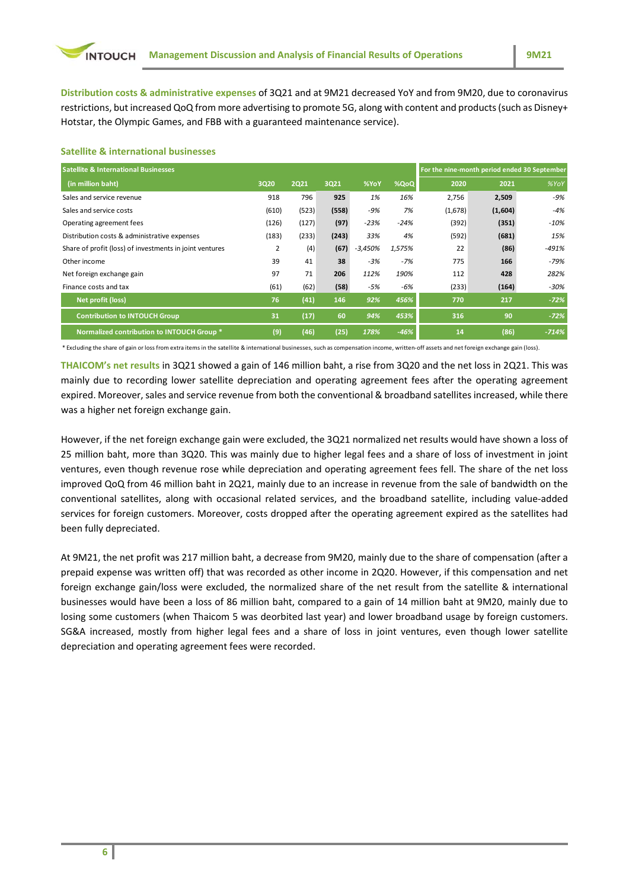**Distribution costs & administrative expenses** of 3Q21 and at 9M21 decreased YoY and from 9M20, due to coronavirus restrictions, but increased QoQ from more advertising to promote 5G, along with content and products (such as Disney+ Hotstar, the Olympic Games, and FBB with a guaranteed maintenance service).

### **Satellite & international businesses**

| <b>Satellite &amp; International Businesses</b>         |       |             |       |           |        | For the nine-month period ended 30 September |         |         |
|---------------------------------------------------------|-------|-------------|-------|-----------|--------|----------------------------------------------|---------|---------|
| (in million baht)                                       | 3020  | <b>2Q21</b> | 3Q21  | %YoY      | %QoQ   | 2020                                         | 2021    | %YoY    |
| Sales and service revenue                               | 918   | 796         | 925   | 1%        | 16%    | 2,756                                        | 2,509   | -9%     |
| Sales and service costs                                 | (610) | (523)       | (558) | -9%       | 7%     | (1,678)                                      | (1,604) | $-4%$   |
| Operating agreement fees                                | (126) | (127)       | (97)  | $-23%$    | $-24%$ | (392)                                        | (351)   | $-10%$  |
| Distribution costs & administrative expenses            | (183) | (233)       | (243) | 33%       | 4%     | (592)                                        | (681)   | 15%     |
| Share of profit (loss) of investments in joint ventures | 2     | (4)         | (67)  | $-3,450%$ | 1,575% | 22                                           | (86)    | $-491%$ |
| Other income                                            | 39    | 41          | 38    | $-3%$     | $-7%$  | 775                                          | 166     | -79%    |
| Net foreign exchange gain                               | 97    | 71          | 206   | 112%      | 190%   | 112                                          | 428     | 282%    |
| Finance costs and tax                                   | (61)  | (62)        | (58)  | -5%       | -6%    | (233)                                        | (164)   | -30%    |
| Net profit (loss)                                       | 76    | (41)        | 146   | 92%       | 456%   | 770                                          | 217     | $-72%$  |
| <b>Contribution to INTOUCH Group</b>                    | 31    | (17)        | 60    | 94%       | 453%   | 316                                          | 90      | $-72%$  |
| Normalized contribution to INTOUCH Group *              | (9)   | (46)        | (25)  | 178%      | $-46%$ | 14                                           | (86)    | $-714%$ |

\* Excluding the share of gain or loss from extra items in the satellite & international businesses, such as compensation income, written-off assets and net foreign exchange gain (loss).

**THAICOM's net results** in 3Q21 showed a gain of 146 million baht, a rise from 3Q20 and the net loss in 2Q21. This was mainly due to recording lower satellite depreciation and operating agreement fees after the operating agreement expired. Moreover, sales and service revenue from both the conventional & broadband satellites increased, while there was a higher net foreign exchange gain.

However, if the net foreign exchange gain were excluded, the 3Q21 normalized net results would have shown a loss of 25 million baht, more than 3Q20. This was mainly due to higher legal fees and a share of loss of investment in joint ventures, even though revenue rose while depreciation and operating agreement fees fell. The share of the net loss improved QoQ from 46 million baht in 2Q21, mainly due to an increase in revenue from the sale of bandwidth on the conventional satellites, along with occasional related services, and the broadband satellite, including value-added services for foreign customers. Moreover, costs dropped after the operating agreement expired as the satellites had been fully depreciated.

At 9M21, the net profit was 217 million baht, a decrease from 9M20, mainly due to the share of compensation (after a prepaid expense was written off) that was recorded as other income in 2Q20. However, if this compensation and net foreign exchange gain/loss were excluded, the normalized share of the net result from the satellite & international businesses would have been a loss of 86 million baht, compared to a gain of 14 million baht at 9M20, mainly due to losing some customers (when Thaicom 5 was deorbited last year) and lower broadband usage by foreign customers. SG&A increased, mostly from higher legal fees and a share of loss in joint ventures, even though lower satellite depreciation and operating agreement fees were recorded.

**6**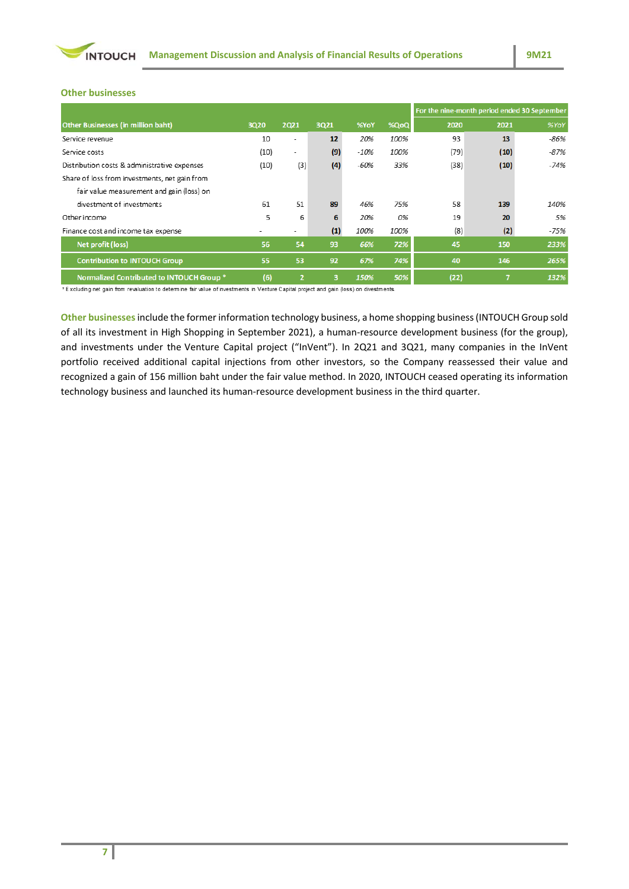

### **Other businesses**

|                                               |      |                |      |        |      | For the nine-month period ended 30 September |      |      |  |
|-----------------------------------------------|------|----------------|------|--------|------|----------------------------------------------|------|------|--|
| <b>Other Businesses (in million baht)</b>     | 3Q20 | 2021           | 3Q21 | %YoY   | %QoQ | 2020                                         | 2021 | %YoY |  |
| Service revenue                               | 10   | ۰              | 12   | 20%    | 100% | 93                                           | 13   | -86% |  |
| Service costs                                 | (10) | ۰              | (9)  | $-10%$ | 100% | (79)                                         | (10) | -87% |  |
| Distribution costs & administrative expenses  | (10) | (3)            | (4)  | $-60%$ | 33%  | (38)                                         | (10) | -74% |  |
| Share of loss from investments, net gain from |      |                |      |        |      |                                              |      |      |  |
| fair value measurement and gain (loss) on     |      |                |      |        |      |                                              |      |      |  |
| divestment of investments                     | 61   | 51             | 89   | 46%    | 75%  | 58                                           | 139  | 140% |  |
| Other income                                  | 5    | 6              | 6    | 20%    | 0%   | 19                                           | 20   | 5%   |  |
| Finance cost and income tax expense           |      | ۰              | (1)  | 100%   | 100% | (8)                                          | (2)  | -75% |  |
| Net profit (loss)                             | 56   | 54             | 93   | 66%    | 72%  | 45                                           | 150  | 233% |  |
| <b>Contribution to INTOUCH Group</b>          | 55   | 53             | 92   | 67%    | 74%  | 40                                           | 146  | 265% |  |
| Normalized Contributed to INTOUCH Group *     | (6)  | $\overline{2}$ | 3    | 150%   | 50%  | (22)                                         | n    | 132% |  |

\*Excluding net gain from revaluation to determine fair value of investments in Venture Capital project and gain (loss) on divestments.

**Other businesses**include the former information technology business, a home shopping business(INTOUCH Group sold of all its investment in High Shopping in September 2021), a human-resource development business (for the group), and investments under the Venture Capital project ("InVent"). In 2Q21 and 3Q21, many companies in the InVent portfolio received additional capital injections from other investors, so the Company reassessed their value and recognized a gain of 156 million baht under the fair value method. In 2020, INTOUCH ceased operating its information technology business and launched its human-resource development business in the third quarter.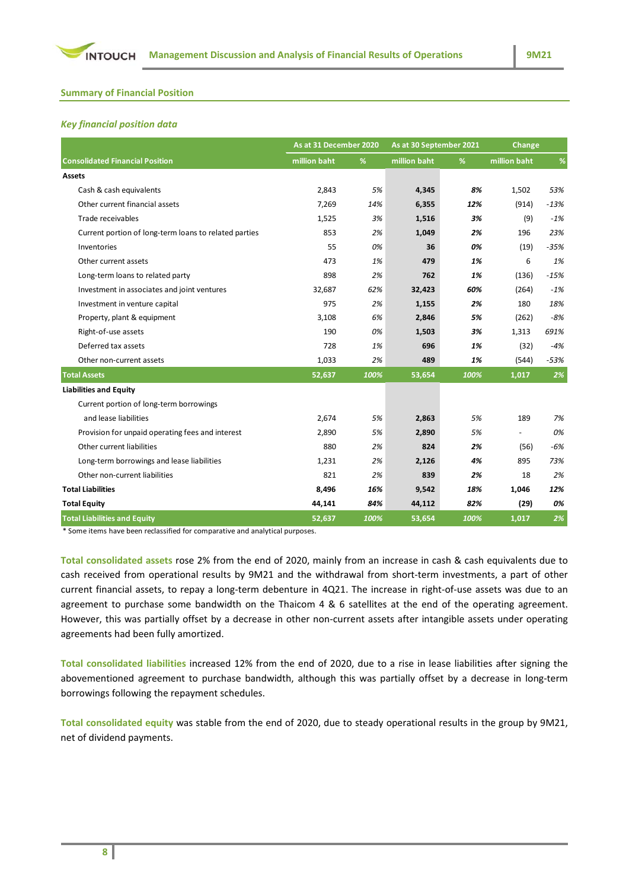

# **Summary of Financial Position**

### *Key financial position data*

|                                                       | As at 31 December 2020 |      | As at 30 September 2021 |      | Change       |        |
|-------------------------------------------------------|------------------------|------|-------------------------|------|--------------|--------|
| <b>Consolidated Financial Position</b>                | million baht           | %    | million baht            | %    | million baht | %      |
| <b>Assets</b>                                         |                        |      |                         |      |              |        |
| Cash & cash equivalents                               | 2,843                  | 5%   | 4,345                   | 8%   | 1,502        | 53%    |
| Other current financial assets                        | 7,269                  | 14%  | 6,355                   | 12%  | (914)        | $-13%$ |
| Trade receivables                                     | 1,525                  | 3%   | 1,516                   | 3%   | (9)          | $-1%$  |
| Current portion of long-term loans to related parties | 853                    | 2%   | 1,049                   | 2%   | 196          | 23%    |
| Inventories                                           | 55                     | 0%   | 36                      | 0%   | (19)         | $-35%$ |
| Other current assets                                  | 473                    | 1%   | 479                     | 1%   | 6            | 1%     |
| Long-term loans to related party                      | 898                    | 2%   | 762                     | 1%   | (136)        | $-15%$ |
| Investment in associates and joint ventures           | 32,687                 | 62%  | 32,423                  | 60%  | (264)        | $-1%$  |
| Investment in venture capital                         | 975                    | 2%   | 1,155                   | 2%   | 180          | 18%    |
| Property, plant & equipment                           | 3,108                  | 6%   | 2,846                   | 5%   | (262)        | $-8%$  |
| Right-of-use assets                                   | 190                    | 0%   | 1,503                   | 3%   | 1,313        | 691%   |
| Deferred tax assets                                   | 728                    | 1%   | 696                     | 1%   | (32)         | $-4%$  |
| Other non-current assets                              | 1,033                  | 2%   | 489                     | 1%   | (544)        | $-53%$ |
| <b>Total Assets</b>                                   | 52,637                 | 100% | 53,654                  | 100% | 1,017        | 2%     |
| <b>Liabilities and Equity</b>                         |                        |      |                         |      |              |        |
| Current portion of long-term borrowings               |                        |      |                         |      |              |        |
| and lease liabilities                                 | 2,674                  | 5%   | 2,863                   | 5%   | 189          | 7%     |
| Provision for unpaid operating fees and interest      | 2,890                  | 5%   | 2,890                   | 5%   |              | 0%     |
| Other current liabilities                             | 880                    | 2%   | 824                     | 2%   | (56)         | $-6%$  |
| Long-term borrowings and lease liabilities            | 1,231                  | 2%   | 2,126                   | 4%   | 895          | 73%    |
| Other non-current liabilities                         | 821                    | 2%   | 839                     | 2%   | 18           | 2%     |
| <b>Total Liabilities</b>                              | 8,496                  | 16%  | 9,542                   | 18%  | 1,046        | 12%    |
| <b>Total Equity</b>                                   | 44,141                 | 84%  | 44,112                  | 82%  | (29)         | 0%     |
| <b>Total Liabilities and Equity</b>                   | 52,637                 | 100% | 53,654                  | 100% | 1,017        | 2%     |

\* Some items have been reclassified for comparative and analytical purposes.

**Total consolidated assets** rose 2% from the end of 2020, mainly from an increase in cash & cash equivalents due to cash received from operational results by 9M21 and the withdrawal from short-term investments, a part of other current financial assets, to repay a long-term debenture in 4Q21. The increase in right-of-use assets was due to an agreement to purchase some bandwidth on the Thaicom 4 & 6 satellites at the end of the operating agreement. However, this was partially offset by a decrease in other non-current assets after intangible assets under operating agreements had been fully amortized.

**Total consolidated liabilities** increased 12% from the end of 2020, due to a rise in lease liabilities after signing the abovementioned agreement to purchase bandwidth, although this was partially offset by a decrease in long-term borrowings following the repayment schedules.

**Total consolidated equity** was stable from the end of 2020, due to steady operational results in the group by 9M21, net of dividend payments.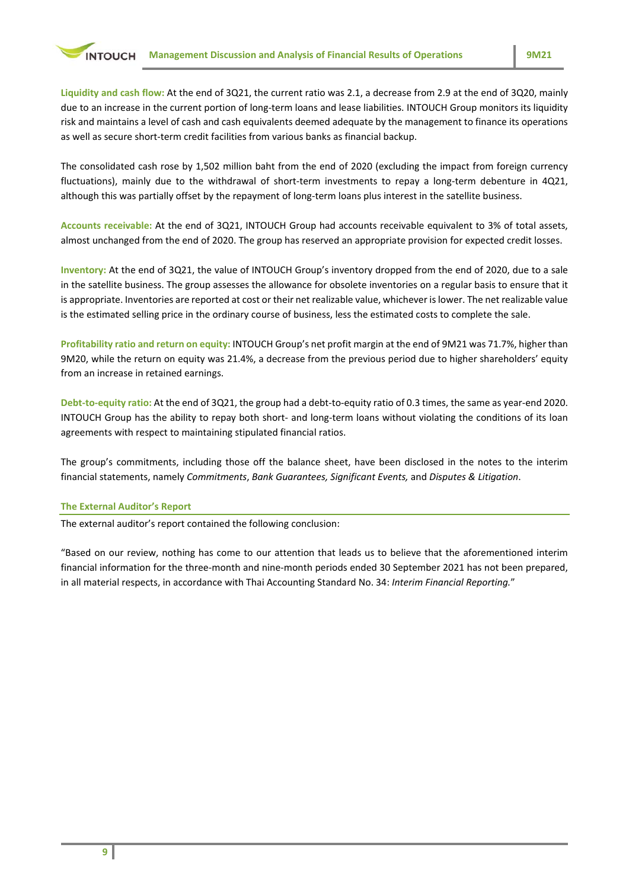**Liquidity and cash flow:** At the end of 3Q21, the current ratio was 2.1, a decrease from 2.9 at the end of 3Q20, mainly due to an increase in the current portion of long-term loans and lease liabilities. INTOUCH Group monitors its liquidity risk and maintains a level of cash and cash equivalents deemed adequate by the management to finance its operations as well as secure short-term credit facilities from various banks as financial backup.

The consolidated cash rose by 1,502 million baht from the end of 2020 (excluding the impact from foreign currency fluctuations), mainly due to the withdrawal of short-term investments to repay a long-term debenture in 4Q21, although this was partially offset by the repayment of long-term loans plus interest in the satellite business.

**Accounts receivable:** At the end of 3Q21, INTOUCH Group had accounts receivable equivalent to 3% of total assets, almost unchanged from the end of 2020. The group has reserved an appropriate provision for expected credit losses.

**Inventory:** At the end of 3Q21, the value of INTOUCH Group's inventory dropped from the end of 2020, due to a sale in the satellite business. The group assesses the allowance for obsolete inventories on a regular basis to ensure that it is appropriate. Inventories are reported at cost or their net realizable value, whichever is lower. The net realizable value is the estimated selling price in the ordinary course of business, less the estimated costs to complete the sale.

**Profitability ratio and return on equity:** INTOUCH Group's net profit margin at the end of 9M21 was 71.7%, higher than 9M20, while the return on equity was 21.4%, a decrease from the previous period due to higher shareholders' equity from an increase in retained earnings.

**Debt-to-equity ratio:** At the end of 3Q21, the group had a debt-to-equity ratio of 0.3 times, the same as year-end 2020. INTOUCH Group has the ability to repay both short- and long-term loans without violating the conditions of its loan agreements with respect to maintaining stipulated financial ratios.

The group's commitments, including those off the balance sheet, have been disclosed in the notes to the interim financial statements, namely *Commitments*, *Bank Guarantees, Significant Events,* and *Disputes & Litigation*.

#### **The External Auditor's Report**

The external auditor's report contained the following conclusion:

"Based on our review, nothing has come to our attention that leads us to believe that the aforementioned interim financial information for the three-month and nine-month periods ended 30 September 2021 has not been prepared, in all material respects, in accordance with Thai Accounting Standard No. 34: *Interim Financial Reporting.*"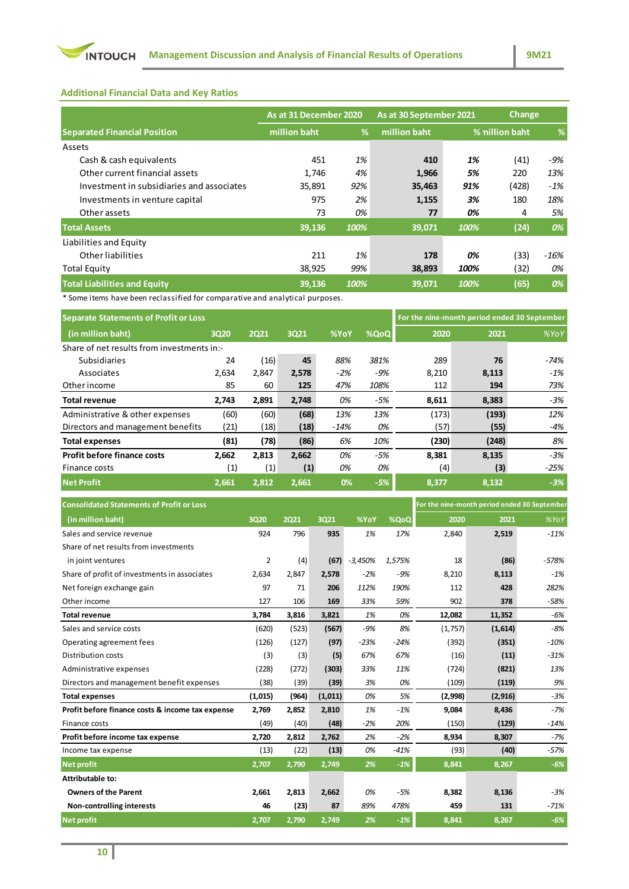

**Additional Financial Data and Key Ratios**

|                                           | As at 31 December 2020 |      | As at 30 September 2021 |      | Change         |        |  |
|-------------------------------------------|------------------------|------|-------------------------|------|----------------|--------|--|
| <b>Separated Financial Position</b>       | million baht           | %    | million baht            |      | % million baht | %      |  |
| Assets                                    |                        |      |                         |      |                |        |  |
| Cash & cash equivalents                   | 451                    | 1%   | 410                     | 1%   | (41)           | -9%    |  |
| Other current financial assets            | 1,746                  | 4%   | 1,966                   | 5%   | 220            | 13%    |  |
| Investment in subsidiaries and associates | 35,891                 | 92%  | 35,463                  | 91%  | (428)          | $-1\%$ |  |
| Investments in venture capital            | 975                    | 2%   | 1,155                   | 3%   | 180            | 18%    |  |
| Other assets                              | 73                     | 0%   | 77                      | 0%   | 4              | 5%     |  |
| <b>Total Assets</b>                       | 39,136                 | 100% | 39,071                  | 100% | (24)           | 0%     |  |
| Liabilities and Equity                    |                        |      |                         |      |                |        |  |
| Other liabilities                         | 211                    | 1%   | 178                     | 0%   | (33)           | -16%   |  |
| <b>Total Equity</b>                       | 38,925                 | 99%  | 38,893                  | 100% | (32)           | 0%     |  |
| <b>Total Liabilities and Equity</b>       | 39.136                 | 100% | 39,071                  | 100% | (65)           | 0%     |  |

\* Some items have been reclassified for comparative and analytical purposes.

| <b>Separate Statements of Profit or Loss</b> | For the nine-month period ended 30 September |       |       |             |       |       |       |        |  |
|----------------------------------------------|----------------------------------------------|-------|-------|-------------|-------|-------|-------|--------|--|
| (in million baht)                            | 3020                                         | 2021  | 3021  | <b>%YoY</b> | %QoQ  | 2020  | 2021  | %YoY   |  |
|                                              | Share of net results from investments in:-   |       |       |             |       |       |       |        |  |
| Subsidiaries                                 | 24                                           | (16)  | 45    | 88%         | 381%  | 289   | 76    | -74%   |  |
| Associates                                   | 2,634                                        | 2,847 | 2,578 | $-2%$       | -9%   | 8,210 | 8,113 | $-1%$  |  |
| Other income                                 | 85                                           | 60    | 125   | 47%         | 108%  | 112   | 194   | 73%    |  |
| <b>Total revenue</b>                         | 2,743                                        | 2,891 | 2,748 | 0%          | $-5%$ | 8,611 | 8,383 | -3%    |  |
| Administrative & other expenses              | (60)                                         | (60)  | (68)  | 13%         | 13%   | (173) | (193) | 12%    |  |
| Directors and management benefits            | (21)                                         | (18)  | (18)  | $-14%$      | 0%    | (57)  | (55)  | $-4%$  |  |
| <b>Total expenses</b>                        | (81)                                         | (78)  | (86)  | 6%          | 10%   | (230) | (248) | 8%     |  |
| <b>Profit before finance costs</b>           | 2,662                                        | 2,813 | 2,662 | 0%          | -5%   | 8,381 | 8,135 | $-3%$  |  |
| Finance costs                                | (1)                                          | (1)   | (1)   | 0%          | 0%    | (4)   | (3)   | $-25%$ |  |
| <b>Net Profit</b>                            | 2.661                                        | 2.812 | 2.661 | 0%          | $-5%$ | 8.377 | 8.132 | $-3%$  |  |

| <b>Consolidated Statements of Profit or Loss</b> |         |       |         |           |        | For the nine-month period ended 30 September |          |         |
|--------------------------------------------------|---------|-------|---------|-----------|--------|----------------------------------------------|----------|---------|
| (in million baht)                                | 3020    | 2021  | 3Q21    | %YoY      | %QoQ   | 2020                                         | 2021     | %YoY    |
| Sales and service revenue                        | 924     | 796   | 935     | 1%        | 17%    | 2,840                                        | 2,519    | $-11%$  |
| Share of net results from investments            |         |       |         |           |        |                                              |          |         |
| in joint ventures                                | 2       | (4)   | (67)    | $-3,450%$ | 1.575% | 18                                           | (86)     | $-578%$ |
| Share of profit of investments in associates     | 2,634   | 2,847 | 2,578   | $-2%$     | $-9%$  | 8,210                                        | 8,113    | $-1%$   |
| Net foreign exchange gain                        | 97      | 71    | 206     | 112%      | 190%   | 112                                          | 428      | 282%    |
| Other income                                     | 127     | 106   | 169     | 33%       | 59%    | 902                                          | 378      | $-58%$  |
| <b>Total revenue</b>                             | 3,784   | 3,816 | 3,821   | 1%        | 0%     | 12,082                                       | 11,352   | $-6%$   |
| Sales and service costs                          | (620)   | (523) | (567)   | $-9%$     | 8%     | (1,757)                                      | (1,614)  | $-8%$   |
| Operating agreement fees                         | (126)   | (127) | (97)    | $-23%$    | $-24%$ | (392)                                        | (351)    | $-10%$  |
| Distribution costs                               | (3)     | (3)   | (5)     | 67%       | 67%    | (16)                                         | (11)     | $-31%$  |
| Administrative expenses                          | (228)   | (272) | (303)   | 33%       | 11%    | (724)                                        | (821)    | 13%     |
| Directors and management benefit expenses        | (38)    | (39)  | (39)    | 3%        | 0%     | (109)                                        | (119)    | 9%      |
| <b>Total expenses</b>                            | (1,015) | (964) | (1,011) | 0%        | 5%     | (2,998)                                      | (2, 916) | $-3%$   |
| Profit before finance costs & income tax expense | 2,769   | 2,852 | 2,810   | 1%        | $-1%$  | 9.084                                        | 8,436    | $-7%$   |
| Finance costs                                    | (49)    | (40)  | (48)    | $-2%$     | 20%    | (150)                                        | (129)    | $-14%$  |
| Profit before income tax expense                 | 2,720   | 2,812 | 2,762   | 2%        | $-2%$  | 8,934                                        | 8,307    | $-7%$   |
| Income tax expense                               | (13)    | (22)  | (13)    | 0%        | $-41%$ | (93)                                         | (40)     | $-57%$  |
| <b>Net profit</b>                                | 2,707   | 2,790 | 2,749   | 2%        | $-1%$  | 8,841                                        | 8,267    | $-6%$   |
| Attributable to:                                 |         |       |         |           |        |                                              |          |         |
| <b>Owners of the Parent</b>                      | 2,661   | 2,813 | 2,662   | 0%        | $-5%$  | 8,382                                        | 8,136    | $-3%$   |
| Non-controlling interests                        | 46      | (23)  | 87      | 89%       | 478%   | 459                                          | 131      | $-71%$  |
| <b>Net profit</b>                                | 2,707   | 2,790 | 2,749   | 2%        | $-1%$  | 8,841                                        | 8,267    | $-6%$   |